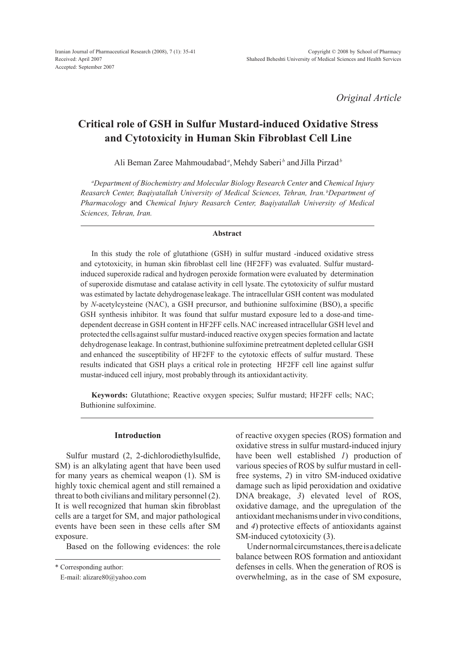*Original Article*

# **Critical role of GSH in Sulfur Mustard-induced Oxidative Stress and Cytotoxicity in Human Skin Fibroblast Cell Line**

Ali Beman Zaree Mahmoudabad<sup>a</sup>, Mehdy Saberi<sup>b</sup> and Jilla Pirzad<sup>b</sup>

*a Department of Biochemistry and Molecular Biology Research Center* and *Chemical Injury Reasarch Center, Baqiyatallah University of Medical Sciences, Tehran, Iran. <sup>b</sup> Department of Pharmacology* and *Chemical Injury Reasarch Center, Baqiyatallah University of Medical Sciences, Tehran, Iran.*

#### **Abstract**

In this study the role of glutathione (GSH) in sulfur mustard -induced oxidative stress and cytotoxicity, in human skin fibroblast cell line (HF2FF) was evaluated. Sulfur mustardinduced superoxide radical and hydrogen peroxide formation were evaluated by determination of superoxide dismutase and catalase activity in cell lysate.The cytotoxicity of sulfur mustard was estimated by lactate dehydrogenase leakage. The intracellular GSH content was modulated by *N*-acetylcysteine (NAC), a GSH precursor, and buthionine sulfoximine (BSO), a specific GSH synthesis inhibitor. It was found that sulfur mustard exposure led to a dose-and timedependent decrease in GSH content in HF2FF cells.NAC increased intracellular GSH level and protectedthe cells against sulfur mustard-induced reactive oxygen species formation and lactate dehydrogenase leakage. In contrast, buthionine sulfoximine pretreatment depleted cellular GSH and enhanced the susceptibility of HF2FF to the cytotoxic effects of sulfur mustard. These results indicated that GSH plays a critical role in protecting HF2FF cell line against sulfur mustar-induced cell injury, most probably through its antioxidant activity.

**Keywords:** Glutathione; Reactive oxygen species; Sulfur mustard; HF2FF cells; NAC; Buthionine sulfoximine.

#### **Introduction**

Sulfur mustard (2, 2-dichlorodiethylsulfide, SM) is an alkylating agent that have been used for many years as chemical weapon (1). SM is highly toxic chemical agent and still remained a threat to both civilians and military personnel (2). It is well recognized that human skin fibroblast cells are a target for SM, and major pathological events have been seen in these cells after SM exposure.

Based on the following evidences: the role

\* Corresponding author:

E-mail: alizare80@yahoo.com

of reactive oxygen species (ROS) formation and oxidative stress in sulfur mustard-induced injury have been well established *1*) production of various species of ROS by sulfur mustard in cellfree systems, *2*) in vitro SM-induced oxidative damage such as lipid peroxidation and oxidative DNA breakage, *3*) elevated level of ROS, oxidative damage, and the upregulation of the antioxidant mechanisms under in vivo conditions, and *4*) protective effects of antioxidants against SM-induced cytotoxicity (3).

Under normal circumstances, there is a delicate balance between ROS formation and antioxidant defenses in cells. When the generation of ROS is overwhelming, as in the case of SM exposure,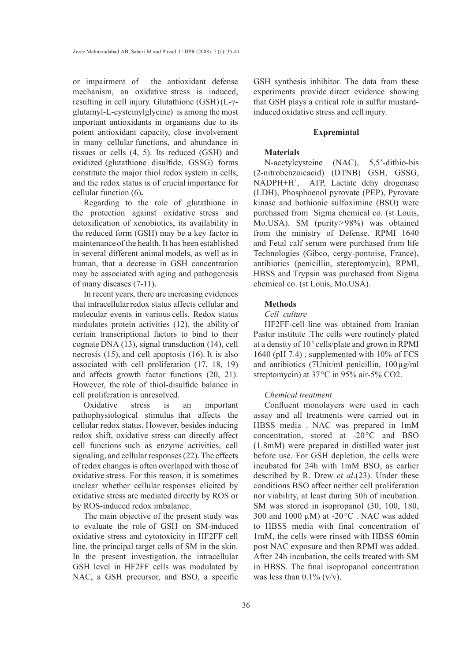or impairment of the antioxidant defense mechanism, an oxidative stress is induced, resulting in cell injury. Glutathione (GSH)(L-γglutamyl-L-cysteinylglycine) is among the most important antioxidants in organisms due to its potent antioxidant capacity, close involvement in many cellular functions, and abundance in tissues or cells (4, 5). Its reduced (GSH) and oxidized (glutathione disulfide, GSSG) forms constitute the major thiol redox system in cells, and the redox status is of crucial importance for cellular function (6)**.**

Regarding to the role of glutathione in the protection against oxidative stress and detoxification of xenobiotics, its availability in the reduced form (GSH) may be a key factor in maintenanceof the health. It has been established in several different animal models, as well as in human, that a decrease in GSH concentration may be associated with aging and pathogenesis of many diseases (7-11).

In recent years, there are increasing evidences that intracellular redox status affects cellular and molecular events in various cells. Redox status modulates protein activities (12), the ability of certain transcriptional factors to bind to their cognate DNA (13), signal transduction (14), cell necrosis (15), and cell apoptosis (16). It is also associated with cell proliferation (17, 18, 19) and affects growth factor functions (20, 21). However, the role of thiol-disulfide balance in cell proliferation is unresolved.

Oxidative stress is an important pathophysiological stimulus that affects the cellular redox status. However, besides inducing redox shift, oxidative stress can directly affect cell functions such as enzyme activities, cell signaling, and cellular responses (22). The effects of redox changes is often overlaped with those of oxidative stress. For this reason, it is sometimes unclear whether cellular responses elicited by oxidative stress are mediated directly by ROS or by ROS-induced redox imbalance.

The main objective of the present study was to evaluate the role of GSH on SM-induced oxidative stress and cytotoxicity in HF2FF cell line, the principal target cells of SM in the skin. In the present investigation, the intracellular GSH level in HF2FF cells was modulated by NAC, a GSH precursor, and BSO, a specific

GSH synthesis inhibitor. The data from these experiments provide direct evidence showing that GSH plays a critical role in sulfur mustardinduced oxidative stress and cell injury.

#### **Expremintal**

## **Materials**

N-acetylcysteine (NAC), 5,5'-dithio-bis (2-nitrobenzoicacid) (DTNB) GSH, GSSG, NADPH+H+ , ATP, Lactate dehy drogenase (LDH), Phosphoenol pyrovate (PEP), Pyrovate kinase and bothionie sulfoximine (BSO) were purchased from Sigma chemical co. (st Louis, Mo.USA). SM (purity>98%) was obtained from the ministry of Defense. RPMI 1640 and Fetal calf serum were purchased from life Technologies (Gibco, cergy-pontoise, France), antibiotics (penicillin, stereptomycin), RPMI, HBSS and Trypsin was purchased from Sigma chemical co. (st Louis, Mo.USA).

#### **Methods**

#### *Cell culture*

HF2FF-cell line was obtained from Iranian Pastur institute .The cells were routinely plated at a density of  $10<sup>5</sup>$  cells/plate and grown in RPMI 1640 (pH 7.4) , supplemented with 10% of FCS and antibiotics (7Unit/ml penicillin,  $100 \mu g/ml$ streptomycin) at 37°C in 95% air-5% CO2.

# *Chemical treatment*

Confluent monolayers were used in each assay and all treatments were carried out in HBSS media . NAC was prepared in 1mM concentration, stored at -20°C and BSO (1.8mM) were prepared in distilled water just before use. For GSH depletion, the cells were incubated for 24h with 1mM BSO, as earlier described by R. Drew *et al*.(23). Under these conditions BSO affect neither cell proliferation nor viability, at least during 30h of incubation. SM was stored in isopropanol (30, 100, 180, 300 and 1000  $\mu$ M) at -20 $\degree$ C. NAC was added to HBSS media with final concentration of 1mM, the cells were rinsed with HBSS 60min post NAC exposure and then RPMI was added. After 24h incubation, the cells treated with SM in HBSS. The final isopropanol concentration was less than  $0.1\%$  (v/v).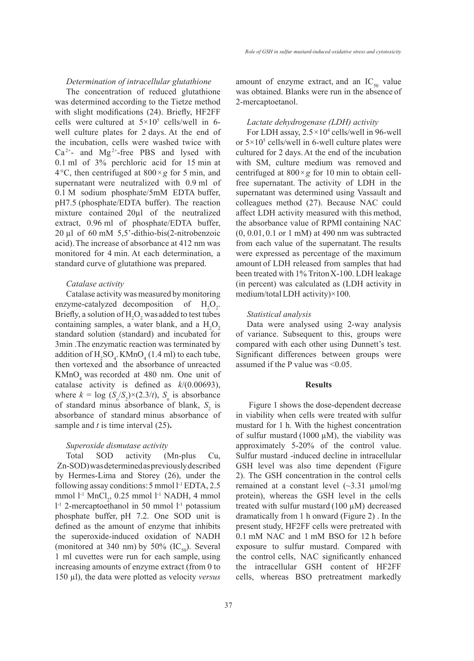## *Determination of intracellular glutathione*

The concentration of reduced glutathione was determined according to the Tietze method with slight modifications (24). Briefly, HF2FF cells were cultured at  $5 \times 10^5$  cells/well in 6well culture plates for 2 days. At the end of the incubation, cells were washed twice with  $Ca^{2+}$ - and Mg<sup>2+</sup>-free PBS and lysed with 0.1 ml of 3% perchloric acid for 15 min at 4 $\degree$ C, then centrifuged at 800 $\times$ *g* for 5 min, and supernatant were neutralized with 0.9 ml of 0.1 M sodium phosphate/5mM EDTA buffer, pH7.5 (phosphate/EDTA buffer). The reaction mixture contained 20µl of the neutralized extract, 0.96 ml of phosphate/EDTA buffer, 20 µl of 60 mM 5,5'-dithio-bis(2-nitrobenzoic acid).The increase of absorbance at 412 nm was monitored for 4 min. At each determination, a standard curve of glutathione was prepared.

## *Catalase activity*

Catalase activity was measured by monitoring enzyme-catalyzed decomposition of  $H_2O_2$ . Briefly, a solution of  $H_2O_2$  was added to test tubes containing samples, a water blank, and a  $H_2O_2$ standard solution (standard) and incubated for 3min .The enzymatic reaction was terminated by addition of  $H_2SO_4$ . KMn $O_4$  (1.4 ml) to each tube, then vortexed and the absorbance of unreacted  $KMnO<sub>4</sub>$  was recorded at 480 nm. One unit of catalase activity is defined as *k*/(0.00693), where  $k = \log (S_0/S_2) \times (2.3/t)$ ,  $S_0$  is absorbance of standard minus absorbance of blank,  $S_2$  is absorbance of standard minus absorbance of sample and *t* is time interval (25)**.**

## *Superoxide dismutase activity*

Total SOD activity (Mn-plus Cu, Zn-SOD) was determined as previously described by Hermes-Lima and Storey (26), under the following assay conditions: 5 mmol l<sup>-1</sup> EDTA, 2.5 mmol  $l<sup>-1</sup>$  MnCl<sub>2</sub>, 0.25 mmol  $l<sup>-1</sup>$  NADH, 4 mmol l -1 2-mercaptoethanol in 50 mmol l-1 potassium phosphate buffer, pH 7.2. One SOD unit is defined as the amount of enzyme that inhibits the superoxide-induced oxidation of NADH (monitored at 340 nm) by 50%  $(IC_{50})$ . Several 1 ml cuvettes were run for each sample, using increasing amounts of enzyme extract (from 0 to 150 µl), the data were plotted as velocity *versus*

amount of enzyme extract, and an  $IC_{50}$  value was obtained. Blanks were run in the absence of 2-mercaptoetanol.

## *Lactate dehydrogenase (LDH) activity*

For LDH assay,  $2.5 \times 10^4$  cells/well in 96-well or  $5 \times 10^5$  cells/well in 6-well culture plates were cultured for 2 days.At the end of the incubation with SM, culture medium was removed and centrifuged at 800×*g* for 10 min to obtain cellfree supernatant. The activity of LDH in the supernatant was determined using Vassault and colleagues method (27). Because NAC could affect LDH activity measured with this method, the absorbance value of RPMI containing NAC (0, 0.01, 0.1 or 1 mM) at 490 nm was subtracted from each value of the supernatant. The results were expressed as percentage of the maximum amount of LDH released from samples that had been treated with 1% TritonX-100. LDH leakage (in percent) was calculated as (LDH activity in medium/totalLDH activity)×100.

#### *Statistical analysis*

Data were analysed using 2-way analysis of variance. Subsequent to this, groups were compared with each other using Dunnett's test. Significant differences between groups were assumed if the P value was <0.05.

## **Results**

 Figure 1 shows the dose-dependent decrease in viability when cells were treated with sulfur mustard for 1 h. With the highest concentration of sulfur mustard (1000  $\mu$ M), the viability was approximately 5-20% of the control value. Sulfur mustard -induced decline in intracellular GSH level was also time dependent (Figure 2). The GSH concentration in the control cells remained at a constant level  $(\sim 3.31 \text{ }\mu\text{mol/mg})$ protein), whereas the GSH level in the cells treated with sulfur mustard  $(100 \mu M)$  decreased dramatically from 1 h onward (Figure 2) . In the present study, HF2FF cells were pretreated with 0.1 mM NAC and 1 mM BSO for 12 h before exposure to sulfur mustard. Compared with the control cells, NAC significantly enhanced the intracellular GSH content of HF2FF cells, whereas BSO pretreatment markedly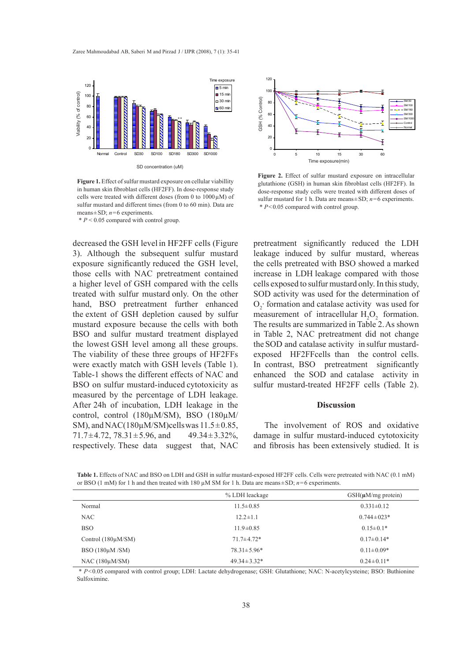Zaree Mahmoudabad AB, Saberi M and Pirzad J / IJPR (2008), 7 (1): 35-41



**Figure 1.** Effect of sulfur mustard exposure on cellular viabillity in human skin fibroblast cells (HF2FF). In dose-response study cells were treated with different doses (from 0 to  $1000 \mu M$ ) of sulfur mustard and different times (from 0 to 60 min). Data are means±SD; *n*=6 experiments.

 $* P < 0.05$  compared with control group.

decreased the GSH level in HF2FF cells (Figure 3). Although the subsequent sulfur mustard exposure significantly reduced the GSH level, those cells with NAC pretreatment contained a higher level of GSH compared with the cells treated with sulfur mustard only. On the other hand, BSO pretreatment further enhanced the extent of GSH depletion caused by sulfur mustard exposure because the cells with both BSO and sulfur mustard treatment displayed the lowest GSH level among all these groups. The viability of these three groups of HF2FFs were exactly match with GSH levels (Table 1). Table-1 shows the different effects of NAC and BSO on sulfur mustard-induced cytotoxicity as measured by the percentage of LDH leakage. After 24h of incubation, LDH leakage in the control, control (180µM/SM), BSO (180µM/ SM), and NAC(180 $\mu$ M/SM)cellswas 11.5 $\pm$ 0.85, 71.7 $\pm$ 4.72, 78.31 $\pm$ 5.96, and 49.34 $\pm$ 3.32%, respectively. These data suggest that, NAC



Figure 2. Effect of sulfur mustard exposure on intracellular glutathione (GSH) in human skin fibroblast cells (HF2FF). In dose-response study cells were treated with different doses of sulfur mustard for 1 h. Data are means±SD; *n*=6 experiments. \* *P*<0.05 compared with control group.

pretreatment significantly reduced the LDH leakage induced by sulfur mustard, whereas the cells pretreated with BSO showed a marked increase in LDH leakage compared with those cells exposed to sulfur mustard only.In this study, SOD activity was used for the determination of  $O_2$  formation and catalase activity was used for measurement of intracellular  $H_2O_2$  formation. The results are summarized in Table 2.As shown in Table 2, NAC pretreatment did not change the SOD and catalase activity in sulfur mustardexposed HF2FFcells than the control cells. In contrast, BSO pretreatment significantly enhanced the SOD and catalase activity in sulfur mustard-treated HF2FF cells (Table 2).

#### **Discussion**

The involvement of ROS and oxidative damage in sulfur mustard-induced cytotoxicity and fibrosis has been extensively studied. It is

**Table 1.** Effects of NAC and BSO on LDH and GSH in sulfur mustard-exposed HF2FF cells. Cells were pretreated with NAC (0.1 mM) or BSO (1 mM) for 1 h and then treated with 180 µM SM for 1 h. Data are means±SD; *n*=6 experiments.

|                         | % LDH leackage    | $GSH(\mu M/mg$ protein) |
|-------------------------|-------------------|-------------------------|
| Normal                  | $11.5 \pm 0.85$   | $0.331 \pm 0.12$        |
| <b>NAC</b>              | $12.2 \pm 1.1$    | $0.744 \pm 0.23*$       |
| <b>BSO</b>              | $11.9 \pm 0.85$   | $0.15 \pm 0.1*$         |
| Control $(180\mu M/SM)$ | $71.7 \pm 4.72*$  | $0.17 \pm 0.14*$        |
| BSO $(180\mu M/SM)$     | $78.31 \pm 5.96*$ | $0.11 \pm 0.09*$        |
| $NAC (180 \mu M/SM)$    | $49.34 \pm 3.32*$ | $0.24 \pm 0.11*$        |

 \* *P*<0.05 compared with control group; LDH: Lactate dehydrogenase; GSH: Glutathione; NAC: N-acetylcysteine; BSO: Buthionine Sulfoximine.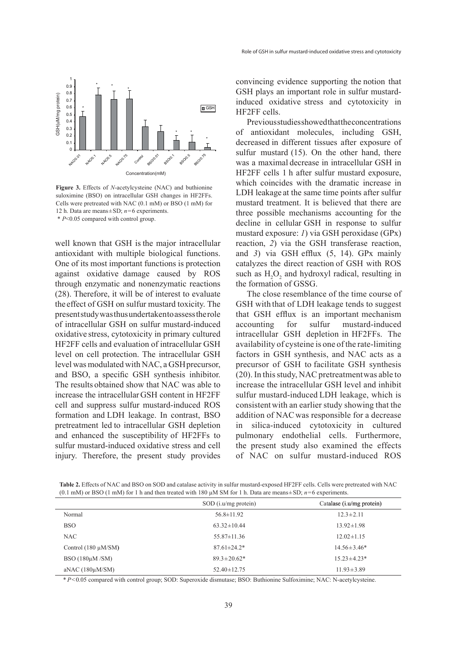

**Figure 3.** Effects of *N*-acetylcysteine (NAC) and buthionine suloximine (BSO) on intracellular GSH changes in HF2FFs. Cells were pretreated with NAC (0.1 mM) or BSO (1 mM) for 12 h. Data are means±SD; *n*=6 experiments. \* *P*<0.05 compared with control group.

well known that GSH is the major intracellular antioxidant with multiple biological functions. One of its most important functions is protection against oxidative damage caused by ROS through enzymatic and nonenzymatic reactions (28). Therefore, it will be of interest to evaluate the effect of GSH on sulfur mustard toxicity. The present study was thus undertakento assess the role of intracellular GSH on sulfur mustard-induced oxidative stress, cytotoxicity in primary cultured HF2FF cells and evaluation of intracellular GSH level on cell protection. The intracellular GSH level was modulated with NAC, a GSHprecursor, and BSO, a specific GSH synthesis inhibitor. The results obtained show that NAC was able to increase the intracellularGSH content in HF2FF cell and suppress sulfur mustard-induced ROS formation and LDH leakage. In contrast, BSO pretreatment led to intracellular GSH depletion and enhanced the susceptibility of HF2FFs to sulfur mustard-induced oxidative stress and cell injury. Therefore, the present study provides convincing evidence supporting the notion that GSH plays an important role in sulfur mustardinduced oxidative stress and cytotoxicity in HF2FF cells.

Previous studies showed thatthe concentrations of antioxidant molecules, including GSH, decreased in different tissues after exposure of sulfur mustard (15). On the other hand, there was a maximal decrease in intracellular GSH in HF2FF cells 1 h after sulfur mustard exposure, which coincides with the dramatic increase in LDH leakage at the same time points after sulfur mustard treatment. It is believed that there are three possible mechanisms accounting for the decline in cellular GSH in response to sulfur mustard exposure: *1*) via GSH peroxidase (GPx) reaction, *2*) via the GSH transferase reaction, and *3*) via GSH efflux (5, 14). GPx mainly catalyzes the direct reaction of GSH with ROS such as  $H_2O_2$  and hydroxyl radical, resulting in the formation of GSSG.

The close resemblance of the time course of GSH with that of LDH leakage tends to suggest that GSH efflux is an important mechanism accounting for sulfur mustard-induced intracellular GSH depletion in HF2FFs. The availability of cysteine is one of the rate-limiting factors in GSH synthesis, and NAC acts as a precursor of GSH to facilitate GSH synthesis (20). In this study, NAC pretreatmentwas able to increase the intracellular GSH level and inhibit sulfur mustard-induced LDH leakage, which is consistentwith an earlier study showing that the addition of NAC was responsible for a decrease in silica-induced cytotoxicity in cultured pulmonary endothelial cells. Furthermore, the present study also examined the effects of NAC on sulfur mustard-induced ROS

**Table 2.** Effects of NAC and BSO on SOD and catalase activity in sulfur mustard-exposed HF2FF cells. Cells were pretreated with NAC (0.1 mM) or BSO (1 mM) for 1 h and then treated with 180  $\mu$ M SM for 1 h. Data are means $\pm$ SD;  $n=6$  experiments.

|                          | $SOD$ (i.u/mg protein) | Catalase (i.u/mg protein) |
|--------------------------|------------------------|---------------------------|
| Normal                   | $56.8 \pm 11.92$       | $12.3 \pm 2.11$           |
| <b>BSO</b>               | $63.32 \pm 10.44$      | $13.92 \pm 1.98$          |
| NAC                      | $55.87 \pm 11.36$      | $12.02 \pm 1.15$          |
| Control $(180 \mu M/SM)$ | $87.61 \pm 24.2^*$     | $14.56 \pm 3.46*$         |
| BSO $(180\mu M/SM)$      | $89.3 \pm 20.62*$      | $15.23 \pm 4.23*$         |
| aNAC $(180\mu M/SM)$     | $52.40 \pm 12.75$      | $11.93 \pm 3.89$          |

*\* P*<0.05 compared with control group; SOD: Superoxide dismutase; BSO: Buthionine Sulfoximine; NAC: N-acetylcysteine.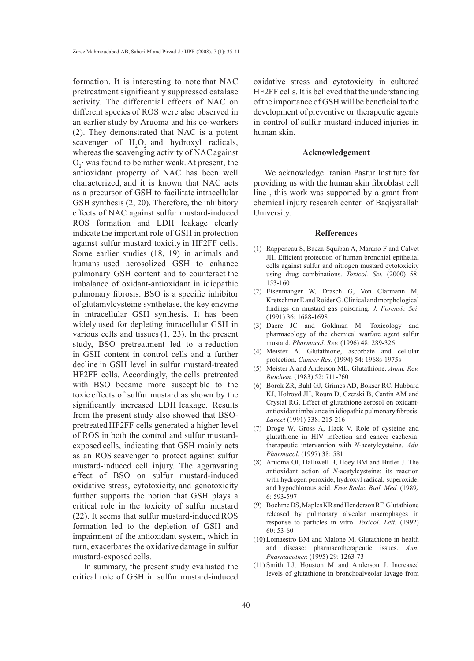formation. It is interesting to note that NAC pretreatment significantly suppressed catalase activity. The differential effects of NAC on different species of ROS were also observed in an earlier study by Aruoma and his co-workers (2). They demonstrated that NAC is a potent scavenger of  $H_2O_2$  and hydroxyl radicals, whereas the scavenging activity of NACagainst  $O_2$  was found to be rather weak. At present, the antioxidant property of NAC has been well characterized, and it is known that NAC acts as a precursor of GSH to facilitate intracellular GSH synthesis (2, 20). Therefore, the inhibitory effects of NAC against sulfur mustard-induced ROS formation and LDH leakage clearly indicate the important role of GSH in protection against sulfur mustard toxicity in HF2FF cells. Some earlier studies (18, 19) in animals and humans used aerosolized GSH to enhance pulmonary GSH content and to counteract the imbalance of oxidant-antioxidant in idiopathic pulmonary fibrosis. BSO is a specific inhibitor of glutamylcysteine synthetase, the key enzyme in intracellular GSH synthesis. It has been widely used for depleting intracellular GSH in various cells and tissues (1, 23). In the present study, BSO pretreatment led to a reduction in GSH content in control cells and a further decline in GSH level in sulfur mustard-treated HF2FF cells. Accordingly, the cells pretreated with BSO became more susceptible to the toxic effects of sulfur mustard as shown by the significantly increased LDH leakage. Results from the present study also showed that BSOpretreated HF2FF cells generated a higher level of ROS in both the control and sulfur mustardexposed cells, indicating that GSH mainly acts as an ROS scavenger to protect against sulfur mustard-induced cell injury. The aggravating effect of BSO on sulfur mustard-induced oxidative stress, cytotoxicity, and genotoxicity further supports the notion that GSH plays a critical role in the toxicity of sulfur mustard (22). It seems that sulfur mustard-induced ROS formation led to the depletion of GSH and impairment of the antioxidant system, which in turn, exacerbates the oxidative damage in sulfur mustard-exposed cells.

In summary, the present study evaluated the critical role of GSH in sulfur mustard-induced oxidative stress and cytotoxicity in cultured HF2FF cells. It is believed that the understanding ofthe importance of GSH will be beneficial to the development of preventive or therapeutic agents in control of sulfur mustard-induced injuries in human skin.

#### **Acknowledgement**

We acknowledge Iranian Pastur Institute for providing us with the human skin fibroblast cell line , this work was supported by a grant from chemical injury research center of Baqiyatallah University.

#### **Refferences**

- (1) Rappeneau S, Baeza-Squiban A, Marano F and Calvet JH. Efficient protection of human bronchial epithelial cells against sulfur and nitrogen mustard cytotoxicity using drug combinations. *Toxicol. Sci.* (2000) 58: 153-160
- Eisenmanger W, Drasch G, Von Clarmann M, (2) Kretschmer E and Roider G. Clinical and morphological findings on mustard gas poisoning. *J. Forensic Sci*. (1991) 36: 1688-1698
- (3) Dacre JC and Goldman M. Toxicology and pharmacology of the chemical warfare agent sulfur mustard. *Pharmacol. Rev.* (1996) 48: 289-326
- Meister A. Glutathione, ascorbate and cellular (4) protection. *Cancer Res.* (1994) 54: 1968s-1975s
- Meister A and Anderson ME. Glutathione. *Annu. Rev.*  (5) *Biochem.* (1983) 52: 711-760
- (6) Borok ZR, Buhl GJ, Grimes AD, Bokser RC, Hubbard KJ, Holroyd JH, Roum D, Czerski B, Cantin AM and Crystal RG. Effect of glutathione aerosol on oxidantantioxidant imbalance in idiopathic pulmonary fibrosis. *Lancet* (1991) 338: 215-216
- (7) Droge W, Gross A, Hack V, Role of cysteine and glutathione in HIV infection and cancer cachexia: therapeutic intervention with *N*-acetylcysteine. *Adv. Pharmacol.* (1997) 38: 581
- (8) Aruoma OI, Halliwell B, Hoey BM and Butler J. The antioxidant action of *N*-acetylcysteine: its reaction with hydrogen peroxide, hydroxyl radical, superoxide, and hypochlorous acid. *Free Radic. Biol. Med.* (1989*)* 6: 593-597
- Boehme DS, Maples KR and Henderson RF. Glutathione (9) released by pulmonary alveolar macrophages in response to particles in vitro. *Toxicol. Lett.* (1992) 60: 53-60
- (10) Lomaestro BM and Malone M. Glutathione in health and disease: pharmacotherapeutic issues. *Ann. Pharmacother.* (1995) 29: 1263-73
- (11) Smith LJ, Houston M and Anderson J. Increased levels of glutathione in bronchoalveolar lavage from